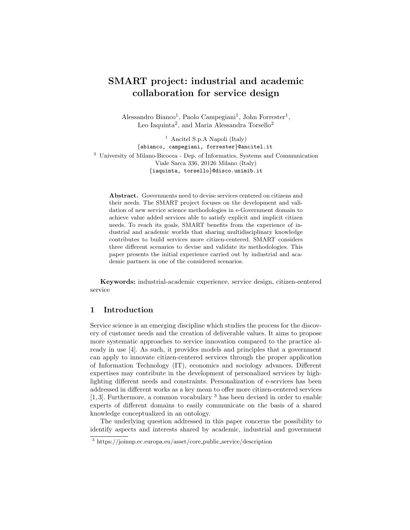# SMART project: industrial and academic collaboration for service design

Alessandro Bianco<sup>1</sup>, Paolo Campegiani<sup>1</sup>, John Forrester<sup>1</sup>, Leo Iaquinta<sup>2</sup>, and Maria Alessandra Torsello<sup>2</sup>

<sup>1</sup> Ancitel S.p.A Napoli (Italy) {abianco, campegiani, forrester}@ancitel.it <sup>2</sup> University of Milano-Bicocca - Dep. of Informatics, Systems and Communication Viale Sarca 336, 20126 Milano (Italy) {iaquinta, torsello}@disco.unimib.it

Abstract. Governments need to devise services centered on citizens and their needs. The SMART project focuses on the development and validation of new service science methodologies in e-Government domain to achieve value added services able to satisfy explicit and implicit citizen needs. To reach its goals, SMART benefits from the experience of industrial and academic worlds that sharing multidisciplinary knowledge contributes to build services more citizen-centered. SMART considers three different scenarios to devise and validate its methodologies. This paper presents the initial experience carried out by industrial and academic partners in one of the considered scenarios.

Keywords: industrial-academic experience, service design, citizen-centered service

#### 1 Introduction

Service science is an emerging discipline which studies the process for the discovery of customer needs and the creation of deliverable values. It aims to propose more systematic approaches to service innovation compared to the practice already in use [4]. As such, it provides models and principles that a government can apply to innovate citizen-centered services through the proper application of Information Technology (IT), economics and sociology advances. Different expertises may contribute in the development of personalized services by highlighting different needs and constraints. Personalization of e-services has been addressed in different works as a key mean to offer more citizen-centered services [1, 3]. Furthermore, a common vocabulary <sup>3</sup> has been devised in order to enable experts of different domains to easily communicate on the basis of a shared knowledge conceptualized in an ontology.

The underlying question addressed in this paper concerns the possibility to identify aspects and interests shared by academic, industrial and government

<sup>3</sup> https://joinup.ec.europa.eu/asset/core public service/description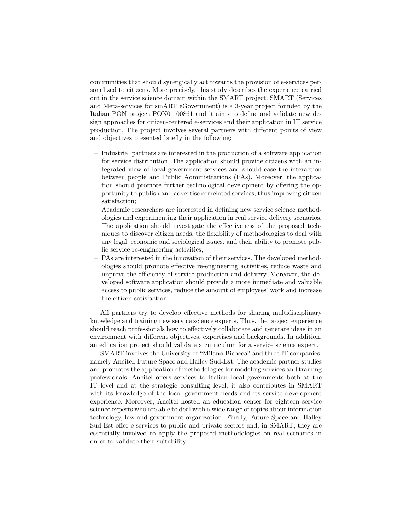communities that should synergically act towards the provision of e-services personalized to citizens. More precisely, this study describes the experience carried out in the service science domain within the SMART project. SMART (Services and Meta-services for smART eGovernment) is a 3-year project founded by the Italian PON project PON01 00861 and it aims to define and validate new design approaches for citizen-centered e-services and their application in IT service production. The project involves several partners with different points of view and objectives presented briefly in the following:

- Industrial partners are interested in the production of a software application for service distribution. The application should provide citizens with an integrated view of local government services and should ease the interaction between people and Public Administrations (PAs). Moreover, the application should promote further technological development by offering the opportunity to publish and advertise correlated services, thus improving citizen satisfaction;
- Academic researchers are interested in defining new service science methodologies and experimenting their application in real service delivery scenarios. The application should investigate the effectiveness of the proposed techniques to discover citizen needs, the flexibility of methodologies to deal with any legal, economic and sociological issues, and their ability to promote public service re-engineering activities;
- PAs are interested in the innovation of their services. The developed methodologies should promote effective re-engineering activities, reduce waste and improve the efficiency of service production and delivery. Moreover, the developed software application should provide a more immediate and valuable access to public services, reduce the amount of employees' work and increase the citizen satisfaction.

All partners try to develop effective methods for sharing multidisciplinary knowledge and training new service science experts. Thus, the project experience should teach professionals how to effectively collaborate and generate ideas in an environment with different objectives, expertises and backgrounds. In addition, an education project should validate a curriculum for a service science expert.

SMART involves the University of "Milano-Bicocca" and three IT companies, namely Ancitel, Future Space and Halley Sud-Est. The academic partner studies and promotes the application of methodologies for modeling services and training professionals. Ancitel offers services to Italian local governments both at the IT level and at the strategic consulting level; it also contributes in SMART with its knowledge of the local government needs and its service development experience. Moreover, Ancitel hosted an education center for eighteen service science experts who are able to deal with a wide range of topics about information technology, law and government organization. Finally, Future Space and Halley Sud-Est offer e-services to public and private sectors and, in SMART, they are essentially involved to apply the proposed methodologies on real scenarios in order to validate their suitability.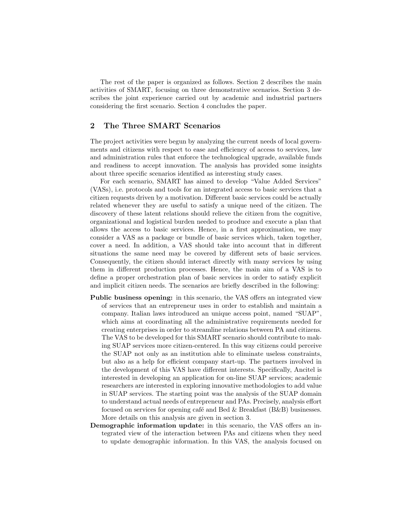The rest of the paper is organized as follows. Section 2 describes the main activities of SMART, focusing on three demonstrative scenarios. Section 3 describes the joint experience carried out by academic and industrial partners considering the first scenario. Section 4 concludes the paper.

#### 2 The Three SMART Scenarios

The project activities were begun by analyzing the current needs of local governments and citizens with respect to ease and efficiency of access to services, law and administration rules that enforce the technological upgrade, available funds and readiness to accept innovation. The analysis has provided some insights about three specific scenarios identified as interesting study cases.

For each scenario, SMART has aimed to develop "Value Added Services" (VASs), i.e. protocols and tools for an integrated access to basic services that a citizen requests driven by a motivation. Different basic services could be actually related whenever they are useful to satisfy a unique need of the citizen. The discovery of these latent relations should relieve the citizen from the cognitive, organizational and logistical burden needed to produce and execute a plan that allows the access to basic services. Hence, in a first approximation, we may consider a VAS as a package or bundle of basic services which, taken together, cover a need. In addition, a VAS should take into account that in different situations the same need may be covered by different sets of basic services. Consequently, the citizen should interact directly with many services by using them in different production processes. Hence, the main aim of a VAS is to define a proper orchestration plan of basic services in order to satisfy explicit and implicit citizen needs. The scenarios are briefly described in the following:

- Public business opening: in this scenario, the VAS offers an integrated view of services that an entrepreneur uses in order to establish and maintain a company. Italian laws introduced an unique access point, named "SUAP", which aims at coordinating all the administrative requirements needed for creating enterprises in order to streamline relations between PA and citizens. The VAS to be developed for this SMART scenario should contribute to making SUAP services more citizen-centered. In this way citizens could perceive the SUAP not only as an institution able to eliminate useless constraints, but also as a help for efficient company start-up. The partners involved in the development of this VAS have different interests. Specifically, Ancitel is interested in developing an application for on-line SUAP services; academic researchers are interested in exploring innovative methodologies to add value in SUAP services. The starting point was the analysis of the SUAP domain to understand actual needs of entrepreneur and PAs. Precisely, analysis effort focused on services for opening café and Bed  $\&$  Breakfast (B $\&$ B) businesses. More details on this analysis are given in section 3.
- Demographic information update: in this scenario, the VAS offers an integrated view of the interaction between PAs and citizens when they need to update demographic information. In this VAS, the analysis focused on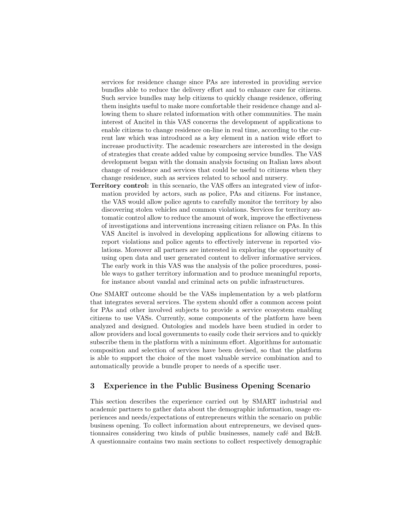services for residence change since PAs are interested in providing service bundles able to reduce the delivery effort and to enhance care for citizens. Such service bundles may help citizens to quickly change residence, offering them insights useful to make more comfortable their residence change and allowing them to share related information with other communities. The main interest of Ancitel in this VAS concerns the development of applications to enable citizens to change residence on-line in real time, according to the current law which was introduced as a key element in a nation wide effort to increase productivity. The academic researchers are interested in the design of strategies that create added value by composing service bundles. The VAS development began with the domain analysis focusing on Italian laws about change of residence and services that could be useful to citizens when they change residence, such as services related to school and nursery.

Territory control: in this scenario, the VAS offers an integrated view of information provided by actors, such as police, PAs and citizens. For instance, the VAS would allow police agents to carefully monitor the territory by also discovering stolen vehicles and common violations. Services for territory automatic control allow to reduce the amount of work, improve the effectiveness of investigations and interventions increasing citizen reliance on PAs. In this VAS Ancitel is involved in developing applications for allowing citizens to report violations and police agents to effectively intervene in reported violations. Moreover all partners are interested in exploring the opportunity of using open data and user generated content to deliver informative services. The early work in this VAS was the analysis of the police procedures, possible ways to gather territory information and to produce meaningful reports, for instance about vandal and criminal acts on public infrastructures.

One SMART outcome should be the VASs implementation by a web platform that integrates several services. The system should offer a common access point for PAs and other involved subjects to provide a service ecosystem enabling citizens to use VASs. Currently, some components of the platform have been analyzed and designed. Ontologies and models have been studied in order to allow providers and local governments to easily code their services and to quickly subscribe them in the platform with a minimum effort. Algorithms for automatic composition and selection of services have been devised, so that the platform is able to support the choice of the most valuable service combination and to automatically provide a bundle proper to needs of a specific user.

# 3 Experience in the Public Business Opening Scenario

This section describes the experience carried out by SMART industrial and academic partners to gather data about the demographic information, usage experiences and needs/expectations of entrepreneurs within the scenario on public business opening. To collect information about entrepreneurs, we devised questionnaires considering two kinds of public businesses, namely café and B&B. A questionnaire contains two main sections to collect respectively demographic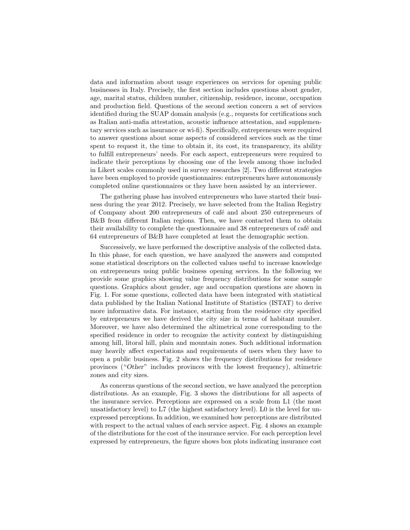data and information about usage experiences on services for opening public businesses in Italy. Precisely, the first section includes questions about gender, age, marital status, children number, citizenship, residence, income, occupation and production field. Questions of the second section concern a set of services identified during the SUAP domain analysis (e.g., requests for certifications such as Italian anti-mafia attestation, acoustic influence attestation, and supplementary services such as insurance or wi-fi). Specifically, entrepreneurs were required to answer questions about some aspects of considered services such as the time spent to request it, the time to obtain it, its cost, its transparency, its ability to fulfill entrepreneurs' needs. For each aspect, entrepreneurs were required to indicate their perceptions by choosing one of the levels among those included in Likert scales commonly used in survey researches [2]. Two different strategies have been employed to provide questionnaires: entrepreneurs have autonomously completed online questionnaires or they have been assisted by an interviewer.

The gathering phase has involved entrepreneurs who have started their business during the year 2012. Precisely, we have selected from the Italian Registry of Company about 200 entrepreneurs of café and about 250 entrepreneurs of B&B from different Italian regions. Then, we have contacted them to obtain their availability to complete the questionnaire and 38 entrepreneurs of café and 64 entrepreneurs of B&B have completed at least the demographic section.

Successively, we have performed the descriptive analysis of the collected data. In this phase, for each question, we have analyzed the answers and computed some statistical descriptors on the collected values useful to increase knowledge on entrepreneurs using public business opening services. In the following we provide some graphics showing value frequency distributions for some sample questions. Graphics about gender, age and occupation questions are shown in Fig. 1. For some questions, collected data have been integrated with statistical data published by the Italian National Institute of Statistics (ISTAT) to derive more informative data. For instance, starting from the residence city specified by entrepreneurs we have derived the city size in terms of habitant number. Moreover, we have also determined the altimetrical zone corresponding to the specified residence in order to recognize the activity context by distinguishing among hill, litoral hill, plain and mountain zones. Such additional information may heavily affect expectations and requirements of users when they have to open a public business. Fig. 2 shows the frequency distributions for residence provinces ("Other" includes provinces with the lowest frequency), altimetric zones and city sizes.

As concerns questions of the second section, we have analyzed the perception distributions. As an example, Fig. 3 shows the distributions for all aspects of the insurance service. Perceptions are expressed on a scale from L1 (the most unsatisfactory level) to L7 (the highest satisfactory level). L0 is the level for unexpressed perceptions. In addition, we examined how perceptions are distributed with respect to the actual values of each service aspect. Fig. 4 shows an example of the distributions for the cost of the insurance service. For each perception level expressed by entrepreneurs, the figure shows box plots indicating insurance cost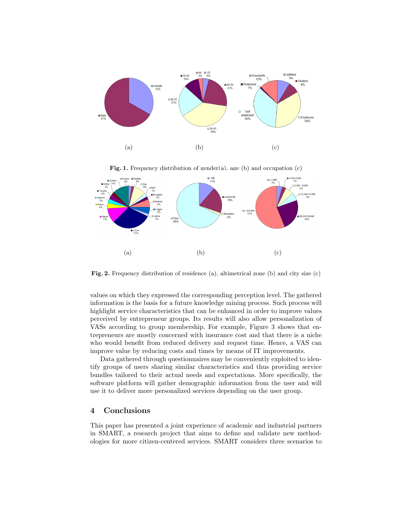

Fig. 1. Frequency distribution of gender(a), age (b) and occupation (c)



Fig. 2. Frequency distribution of residence (a), altimetrical zone (b) and city size (c)

values on which they expressed the corresponding perception level. The gathered information is the basis for a future knowledge mining process. Such process will highlight service characteristics that can be enhanced in order to improve values perceived by entrepreneur groups. Its results will also allow personalization of VASs according to group membership. For example, Figure 3 shows that entrepreneurs are mostly concerned with insurance cost and that there is a niche who would benefit from reduced delivery and request time. Hence, a VAS can improve value by reducing costs and times by means of IT improvements.

Data gathered through questionnaires may be conveniently exploited to identify groups of users sharing similar characteristics and thus providing service bundles tailored to their actual needs and expectations. More specifically, the software platform will gather demographic information from the user and will use it to deliver more personalized services depending on the user group.

### 4 Conclusions

This paper has presented a joint experience of academic and industrial partners in SMART, a research project that aims to define and validate new methodologies for more citizen-centered services. SMART considers three scenarios to